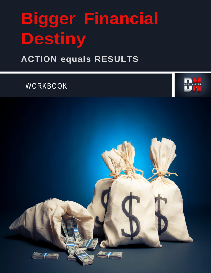## **Bigger Financial Destiny**

## **ACTION equals RESULTS**

WORKBOOK



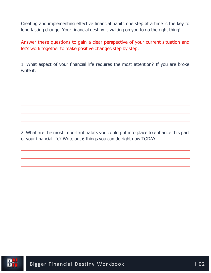Creating and implementing effective financial habits one step at a time is the key to long-lasting change. Your financial destiny is waiting on you to do the right thing!

Answer these questions to gain a clear perspective of your current situation and let's work together to make positive changes step by step.

1. What aspect of your financial life requires the most attention? If you are broke write it.

2. What are the most important habits you could put into place to enhance this part of your financial life? Write out 6 things you can do right now TODAY

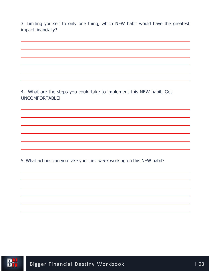3. Limiting yourself to only one thing, which NEW habit would have the greatest impact financially?

4. What are the steps you could take to implement this NEW habit. Get UNCOMFORTABLE!

5. What actions can you take your first week working on this NEW habit?